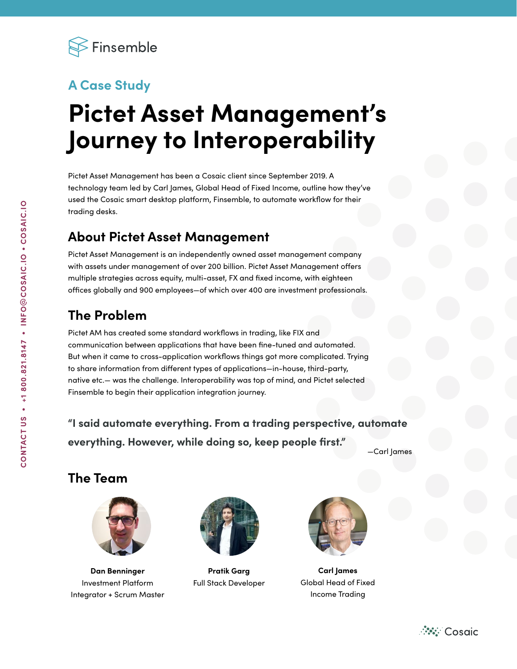

## **A Case Study**

# **Pictet Asset Management's Journey to Interoperability**

Pictet Asset Management has been a Cosaic client since September 2019. A technology team led by Carl James, Global Head of Fixed Income, outline how they've used the Cosaic smart desktop platform, Finsemble, to automate workflow for their trading desks.

### **About Pictet Asset Management**

Pictet Asset Management is an independently owned asset management company with assets under management of over 200 billion. Pictet Asset Management offers multiple strategies across equity, multi-asset, FX and fixed income, with eighteen offices globally and 900 employees—of which over 400 are investment professionals.

## **The Problem**

Pictet AM has created some standard workflows in trading, like FIX and communication between applications that have been fine-tuned and automated. But when it came to cross-application workflows things got more complicated. Trying to share information from different types of applications—in-house, third-party, native etc.— was the challenge. Interoperability was top of mind, and Pictet selected Finsemble to begin their application integration journey.

**"I said automate everything. From a trading perspective, automate everything. However, while doing so, keep people first."** 

—Carl James

#### **The Team**



**Dan Benninger** Investment Platform Integrator + Scrum Master



**Pratik Garg** Full Stack Developer



**Carl James** Global Head of Fixed Income Trading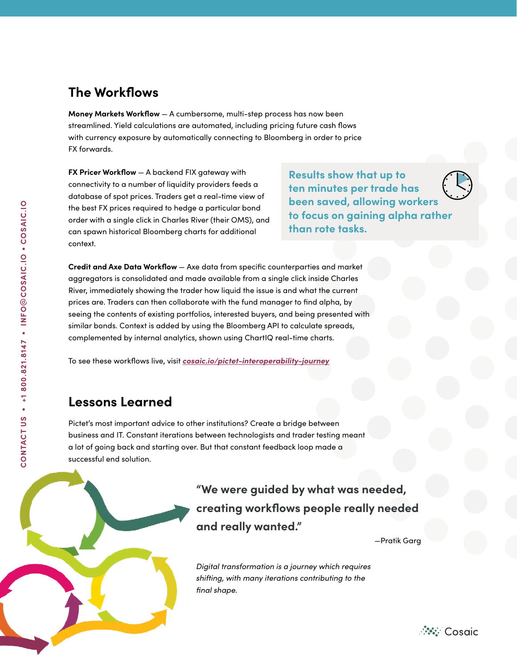#### **The Workflows**

**Money Markets Workflow** — A cumbersome, multi-step process has now been streamlined. Yield calculations are automated, including pricing future cash flows with currency exposure by automatically connecting to Bloomberg in order to price FX forwards.

**FX Pricer Workflow** — A backend FIX gateway with connectivity to a number of liquidity providers feeds a database of spot prices. Traders get a real-time view of the best FX prices required to hedge a particular bond order with a single click in Charles River (their OMS), and can spawn historical Bloomberg charts for additional context.

**Results show that up to ten minutes per trade has been saved, allowing workers to focus on gaining alpha rather than rote tasks.** 

**Credit and Axe Data Workflow** — Axe data from specific counterparties and market aggregators is consolidated and made available from a single click inside Charles River, immediately showing the trader how liquid the issue is and what the current prices are. Traders can then collaborate with the fund manager to find alpha, by seeing the contents of existing portfolios, interested buyers, and being presented with similar bonds. Context is added by using the Bloomberg API to calculate spreads, complemented by internal analytics, shown using ChartIQ real-time charts.

To see these workflows live, visit *[cosaic.io/pictet-interoperability-journey](https://cosaic.io/pictet-interoperability-journey)*

#### **Lessons Learned**

Pictet's most important advice to other institutions? Create a bridge between business and IT. Constant iterations between technologists and trader testing meant a lot of going back and starting over. But that constant feedback loop made a successful end solution.

> **"We were guided by what was needed, creating workflows people really needed and really wanted."**

> > —Pratik Garg

*Digital transformation is a journey which requires shifting, with many iterations contributing to the final shape.*